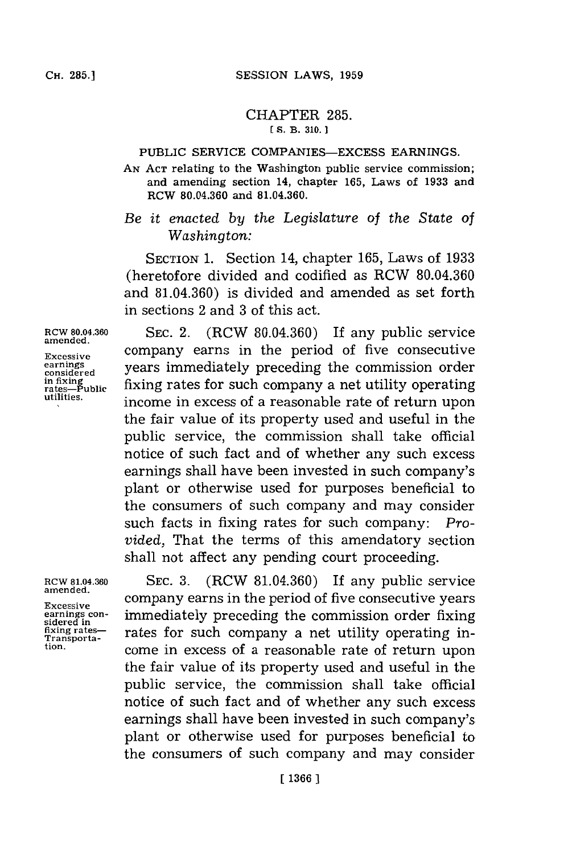## CHAPTER **285. [S. B. 310. 1**

## PUBLIC SERVICE **COMPANIES-EXCESS** EARNINGS.

**AN ACT** relating to the Washington public service commission; and amending section 14, chapter **165,** Laws of **1933** and RCW **80.04.360** and **81.04.360.**

*Be it enacted by the Legislature* of *the State of Washington:*

**SECTION 1.** Section 14, chapter **165,** Laws of **1933** (heretofore divided and codified as RCW **80.04.360** and **81.04.360)** is divided and amended as set forth in sections 2 and **3** of this act.

**amended.**

**RCW 80.04.360 SEC.** 2. (RCW **80.04.360)** If any public service Excessive company earns in the period of five consecutive<br>earnings vears immediately preceding the commission order **considered** years immediately preceding the commission order **in fixing**<br> **in fixing**<br> **integraphs fixing**<br> **integraphs integraphs** *fixing integraphs***<b>***fixing integraphs integraphs integraphs integraphs integraphs integraphs*income in excess of a reasonable rate of return upon the fair value of its property used and useful in the public service, the commission shall take official notice of such fact and of whether any such excess earnings shall have been invested in such company's plant or otherwise used for purposes beneficial to the consumers of such company and may consider such facts in fixing rates for such company: *Provided,* That the terms of this amendatory section shall not affect any pending court proceeding.

**RCw 81.04.360 SEC. 3.** (RCW **81.04.360)** If any public service **Excessive** company earns in the period of five consecutive years earnings con-<br> **earnings con-**<br> **iddeped in**<br> **Example 2** rates for such company a net utility operating in-<br> **Transporta-**Fixing rates—<br>Transporta-<br>tion. **Transporta- COMO** in avecase of a reasonable rate of roturn upon **tion,** come in excess of a reasonable rate of return upon the fair value of its property used and useful in the public service, the commission shall take official notice of such fact and of whether any such excess earnings shall have been invested in such company's plant or otherwise used for purposes beneficial to the consumers of such company and may consider